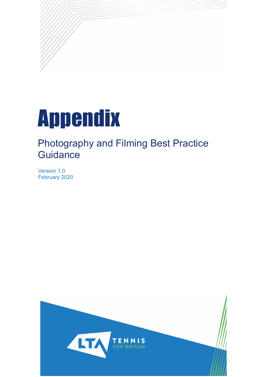

## Photography and Filming Best Practice **Guidance**

Version 1.0 February 2020

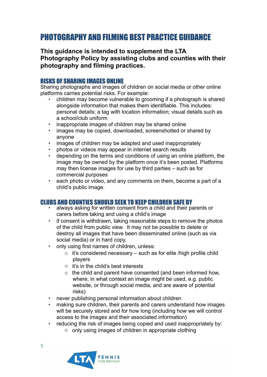### PHOTOGRAPHY AND FILMING BEST PRACTICE GUIDANCE

**This guidance is intended to supplement the LTA Photography Policy by assisting clubs and counties with their photography and filming practices.** 

### RISKS OF SHARING IMAGES ONLINE

Sharing photographs and images of children on social media or other online platforms carries potential risks. For example:

- children may become vulnerable to grooming if a photograph is shared alongside information that makes them identifiable. This includes: personal details; a tag with location information; visual details such as a school/club uniform
- inappropriate images of children may be shared online
- images may be copied, downloaded, screenshotted or shared by anyone
- images of children may be adapted and used inappropriately
- photos or videos may appear in internet search results
- depending on the terms and conditions of using an online platform, the image may be owned by the platform once it's been posted. Platforms may then license images for use by third parties – such as for commercial purposes
- each photo or video, and any comments on them, become a part of a child's public image.

# CLUBS AND COUNTIES SHOULD SEEK TO KEEP CHILDREN SAFE BY • always asking for written consent from a child and their parents or

- carers before taking and using a child's image
- if consent is withdrawn, taking reasonable steps to remove the photos of the child from public view. It may not be possible to delete or destroy all images that have been disseminated online (such as via social media) or in hard copy.
- only using first names of children, unless:
	- $\circ$  it's considered necessary such as for elite /high profile child players
	- $\circ$  it's in the child's best interests
	- o the child and parent have consented (and been informed how, where, in what context an image might be used, e.g. public website, or through social media, and are aware of potential risks)
- never publishing personal information about children
- making sure children, their parents and carers understand how images will be securely stored and for how long (including how we will control access to the images and their associated information)
- reducing the risk of images being copied and used inappropriately by:
	- o only using images of children in appropriate clothing

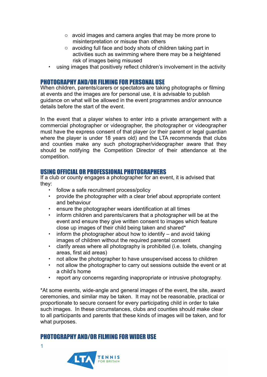- o avoid images and camera angles that may be more prone to misinterpretation or misuse than others
- o avoiding full face and body shots of children taking part in activities such as swimming where there may be a heightened risk of images being misused
- using images that positively reflect children's involvement in the activity

### PHOTOGRAPHY AND/OR FILMING FOR PERSONAL USE

When children, parents/carers or spectators are taking photographs or filming at events and the images are for personal use, it is advisable to publish guidance on what will be allowed in the event programmes and/or announce details before the start of the event.

In the event that a player wishes to enter into a private arrangement with a commercial photographer or videographer, the photographer or videographer must have the express consent of that player (or their parent or legal guardian where the player is under 18 years old) and the LTA recommends that clubs and counties make any such photographer/videographer aware that they should be notifying the Competition Director of their attendance at the competition.

#### USING OFFICIAL OR PROFESSIONAL PHOTOGRAPHERS

If a club or county engages a photographer for an event, it is advised that they:

- follow a safe recruitment process/policy
- provide the photographer with a clear brief about appropriate content and behaviour
- ensure the photographer wears identification at all times
- inform children and parents/carers that a photographer will be at the event and ensure they give written consent to images which feature close up images of their child being taken and shared\*
- inform the photographer about how to identify and avoid taking images of children without the required parental consent
- clarify areas where all photography is prohibited (i.e. toilets, changing areas, first aid areas)
- not allow the photographer to have unsupervised access to children
- not allow the photographer to carry out sessions outside the event or at a child's home
- report any concerns regarding inappropriate or intrusive photography.

\*At some events, wide-angle and general images of the event, the site, award ceremonies, and similar may be taken. It may not be reasonable, practical or proportionate to secure consent for every participating child in order to take such images. In these circumstances, clubs and counties should make clear to all participants and parents that these kinds of images will be taken, and for what purposes.

#### PHOTOGRAPHY AND/OR FILMING FOR WIDER USE